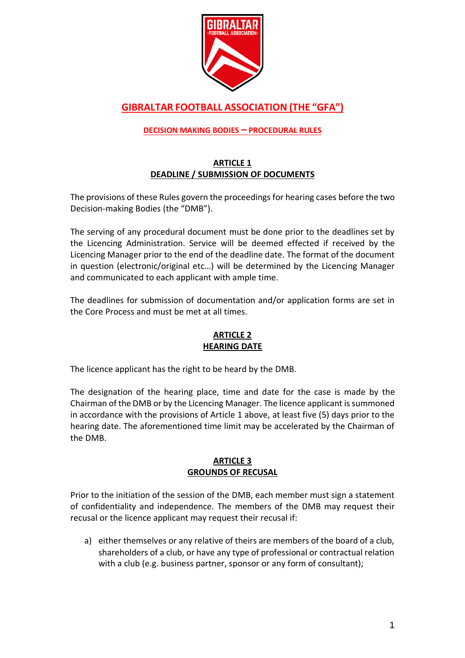

# **GIBRALTAR FOOTBALL ASSOCIATION (THE "GFA")**

# **DECISION MAKING BODIES – PROCEDURAL RULES**

# **ARTICLE 1 DEADLINE / SUBMISSION OF DOCUMENTS**

The provisions of these Rules govern the proceedings for hearing cases before the two Decision-making Bodies (the "DMB").

The serving of any procedural document must be done prior to the deadlines set by the Licencing Administration. Service will be deemed effected if received by the Licencing Manager prior to the end of the deadline date. The format of the document in question (electronic/original etc…) will be determined by the Licencing Manager and communicated to each applicant with ample time.

The deadlines for submission of documentation and/or application forms are set in the Core Process and must be met at all times.

# **ARTICLE 2 HEARING DATE**

The licence applicant has the right to be heard by the DMB.

The designation of the hearing place, time and date for the case is made by the Chairman of the DMB or by the Licencing Manager. The licence applicant is summoned in accordance with the provisions of Article 1 above, at least five (5) days prior to the hearing date. The aforementioned time limit may be accelerated by the Chairman of the DMB.

# **ARTICLE 3 GROUNDS OF RECUSAL**

Prior to the initiation of the session of the DMB, each member must sign a statement of confidentiality and independence. The members of the DMB may request their recusal or the licence applicant may request their recusal if:

a) either themselves or any relative of theirs are members of the board of a club, shareholders of a club, or have any type of professional or contractual relation with a club (e.g. business partner, sponsor or any form of consultant);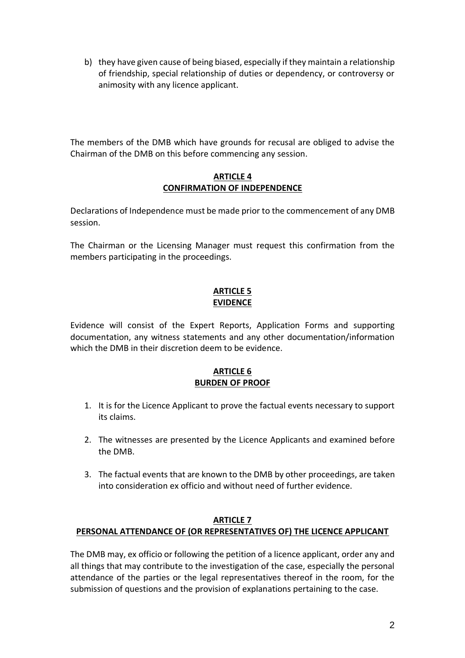b) they have given cause of being biased, especially if they maintain a relationship of friendship, special relationship of duties or dependency, or controversy or animosity with any licence applicant.

The members of the DMB which have grounds for recusal are obliged to advise the Chairman of the DMB on this before commencing any session.

#### **ARTICLE 4 CONFIRMATION OF INDEPENDENCE**

Declarations of Independence must be made prior to the commencement of any DMB session.

The Chairman or the Licensing Manager must request this confirmation from the members participating in the proceedings.

# **ARTICLE 5 EVIDENCE**

Evidence will consist of the Expert Reports, Application Forms and supporting documentation, any witness statements and any other documentation/information which the DMB in their discretion deem to be evidence.

# **ARTICLE 6 BURDEN OF PROOF**

- 1. It is for the Licence Applicant to prove the factual events necessary to support its claims.
- 2. The witnesses are presented by the Licence Applicants and examined before the DMB.
- 3. The factual events that are known to the DMB by other proceedings, are taken into consideration ex officio and without need of further evidence.

#### **ARTICLE 7 PERSONAL ATTENDANCE OF (OR REPRESENTATIVES OF) THE LICENCE APPLICANT**

The DMB may, ex officio or following the petition of a licence applicant, order any and all things that may contribute to the investigation of the case, especially the personal attendance of the parties or the legal representatives thereof in the room, for the submission of questions and the provision of explanations pertaining to the case.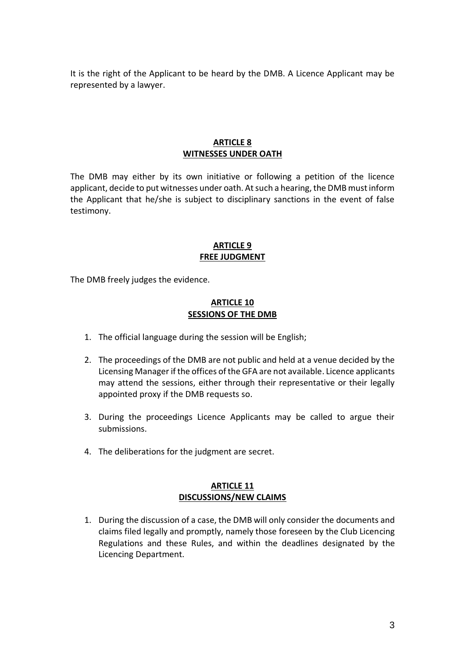It is the right of the Applicant to be heard by the DMB. A Licence Applicant may be represented by a lawyer.

#### **ARTICLE 8 WITNESSES UNDER OATH**

The DMB may either by its own initiative or following a petition of the licence applicant, decide to put witnesses under oath. At such a hearing, the DMB must inform the Applicant that he/she is subject to disciplinary sanctions in the event of false testimony.

#### **ARTICLE 9 FREE JUDGMENT**

The DMB freely judges the evidence.

#### **ARTICLE 10 SESSIONS OF THE DMB**

- 1. The official language during the session will be English;
- 2. The proceedings of the DMB are not public and held at a venue decided by the Licensing Manager if the offices of the GFA are not available. Licence applicants may attend the sessions, either through their representative or their legally appointed proxy if the DMB requests so.
- 3. During the proceedings Licence Applicants may be called to argue their submissions.
- 4. The deliberations for the judgment are secret.

#### **ARTICLE 11 DISCUSSIONS/NEW CLAIMS**

1. During the discussion of a case, the DMB will only consider the documents and claims filed legally and promptly, namely those foreseen by the Club Licencing Regulations and these Rules, and within the deadlines designated by the Licencing Department.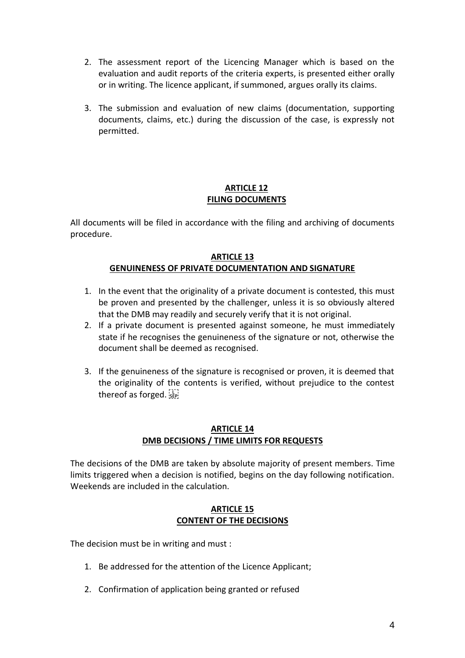- 2. The assessment report of the Licencing Manager which is based on the evaluation and audit reports of the criteria experts, is presented either orally or in writing. The licence applicant, if summoned, argues orally its claims.
- 3. The submission and evaluation of new claims (documentation, supporting documents, claims, etc.) during the discussion of the case, is expressly not permitted.

# **ARTICLE 12 FILING DOCUMENTS**

All documents will be filed in accordance with the filing and archiving of documents procedure.

#### **ARTICLE 13 GENUINENESS OF PRIVATE DOCUMENTATION AND SIGNATURE**

- 1. In the event that the originality of a private document is contested, this must be proven and presented by the challenger, unless it is so obviously altered that the DMB may readily and securely verify that it is not original.
- 2. If a private document is presented against someone, he must immediately state if he recognises the genuineness of the signature or not, otherwise the document shall be deemed as recognised.
- 3. If the genuineness of the signature is recognised or proven, it is deemed that the originality of the contents is verified, without prejudice to the contest thereof as forged.

# **ARTICLE 14 DMB DECISIONS / TIME LIMITS FOR REQUESTS**

The decisions of the DMB are taken by absolute majority of present members. Time limits triggered when a decision is notified, begins on the day following notification. Weekends are included in the calculation.

#### **ARTICLE 15 CONTENT OF THE DECISIONS**

The decision must be in writing and must :

- 1. Be addressed for the attention of the Licence Applicant;
- 2. Confirmation of application being granted or refused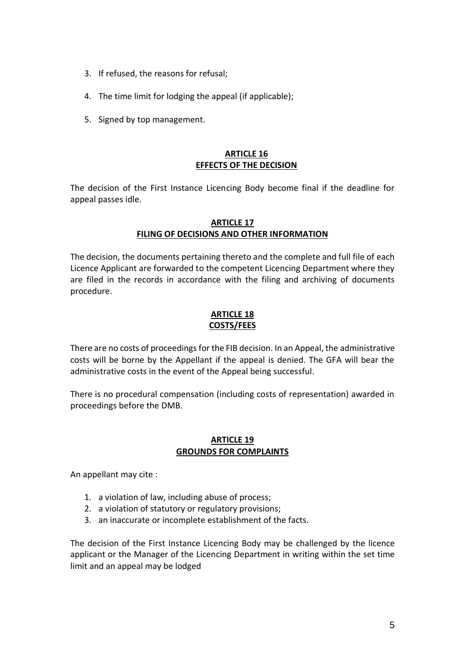- 3. If refused, the reasons for refusal;
- 4. The time limit for lodging the appeal (if applicable);
- 5. Signed by top management.

#### **ARTICLE 16 EFFECTS OF THE DECISION**

The decision of the First Instance Licencing Body become final if the deadline for appeal passes idle.

#### **ARTICLE 17 FILING OF DECISIONS AND OTHER INFORMATION**

The decision, the documents pertaining thereto and the complete and full file of each Licence Applicant are forwarded to the competent Licencing Department where they are filed in the records in accordance with the filing and archiving of documents procedure.

#### **ARTICLE 18 COSTS/FEES**

There are no costs of proceedings for the FIB decision. In an Appeal, the administrative costs will be borne by the Appellant if the appeal is denied. The GFA will bear the administrative costs in the event of the Appeal being successful.

There is no procedural compensation (including costs of representation) awarded in proceedings before the DMB.

# **ARTICLE 19 GROUNDS FOR COMPLAINTS**

An appellant may cite :

- 1. a violation of law, including abuse of process;
- 2. a violation of statutory or regulatory provisions;
- 3. an inaccurate or incomplete establishment of the facts.

The decision of the First Instance Licencing Body may be challenged by the licence applicant or the Manager of the Licencing Department in writing within the set time limit and an appeal may be lodged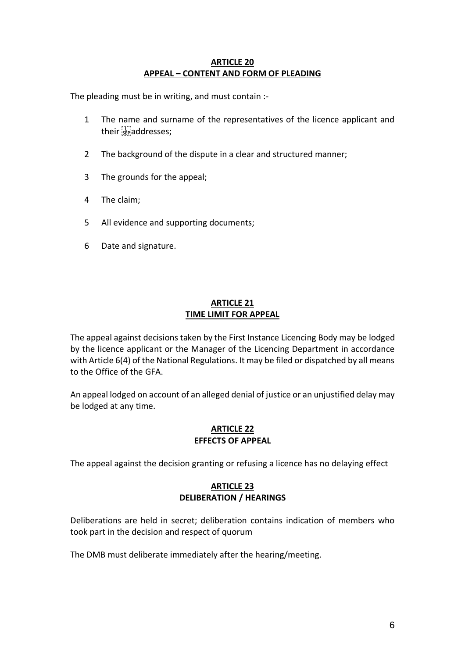#### **ARTICLE 20 APPEAL – CONTENT AND FORM OF PLEADING**

The pleading must be in writing, and must contain :-

- 1 The name and surname of the representatives of the licence applicant and their sepaddresses;
- 2 The background of the dispute in a clear and structured manner;
- 3 The grounds for the appeal;
- 4 The claim;
- 5 All evidence and supporting documents;
- 6 Date and signature.

#### **ARTICLE 21 TIME LIMIT FOR APPEAL**

The appeal against decisions taken by the First Instance Licencing Body may be lodged by the licence applicant or the Manager of the Licencing Department in accordance with Article 6(4) of the National Regulations. It may be filed or dispatched by all means to the Office of the GFA.

An appeal lodged on account of an alleged denial of justice or an unjustified delay may be lodged at any time.

# **ARTICLE 22 EFFECTS OF APPEAL**

The appeal against the decision granting or refusing a licence has no delaying effect

# **ARTICLE 23 DELIBERATION / HEARINGS**

Deliberations are held in secret; deliberation contains indication of members who took part in the decision and respect of quorum

The DMB must deliberate immediately after the hearing/meeting.